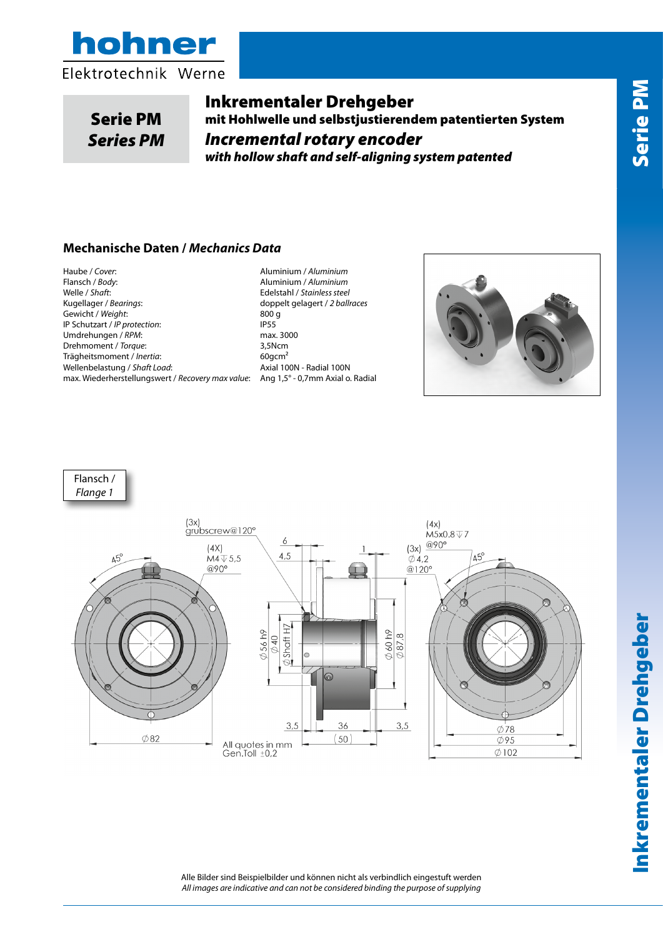



Serie PM *Series PM*

Inkrementaler Drehgeber mit Hohlwelle und selbstjustierendem patentierten System *Incremental rotary encoder with hollow shaft and self-aligning system patented*

#### **Mechanische Daten /** *Mechanics Data*

Haube / *Cover*: Aluminium / *Aluminium* Welle / *Shaft*: Edelstahl / *Stainless steel* Gewicht / *Weight*: 800<br>
IP Schutzart / *IP protection*: 800 g PS5 IP Schutzart / *IP protection*: IP55<br>
Umdrehungen / RPM: International Max. 3000 Umdrehungen / RPM: Drehmoment / *Torque*: 3,5Ncm Trägheitsmoment / *Inertia*: 60gcm² Wellenbelastung / *Shaft Load*: Axial 100N - Radial 100N max. Wiederherstellungswert / *Recovery max value*: Ang 1,5° - 0,7mm Axial o. Radial

Flansch / *Body*: Aluminium / *Aluminium* doppelt gelagert / 2 ballraces<br>800 g







Alle Bilder sind Beispielbilder und können nicht als verbindlich eingestuft werden *All images are indicative and can not be considered binding the purpose of supplying*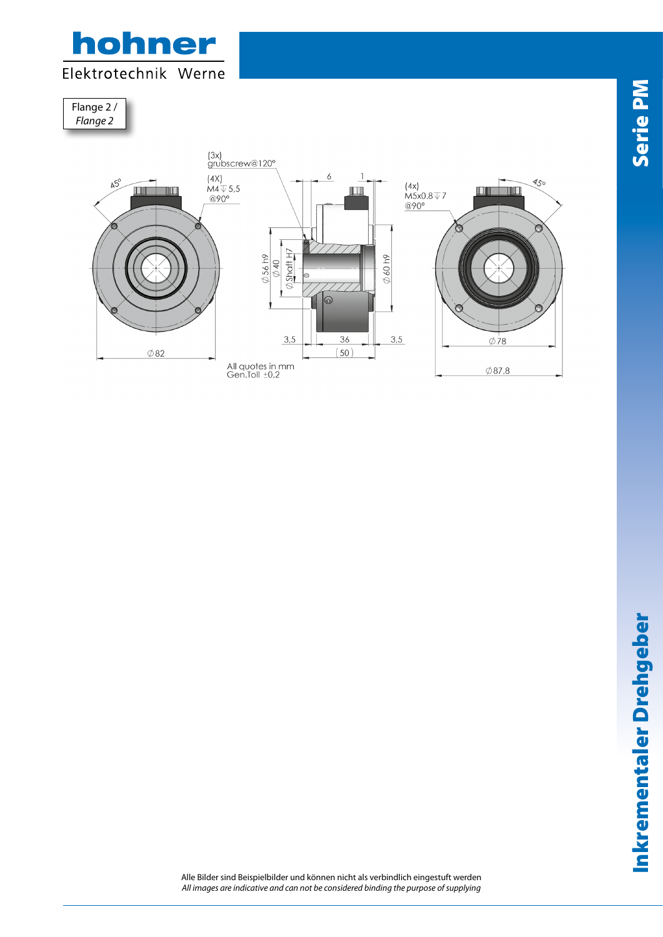

Flange 2 / *Flange 2*



Alle Bilder sind Beispielbilder und können nicht als verbindlich eingestuft werden *All images are indicative and can not be considered binding the purpose of supplying*